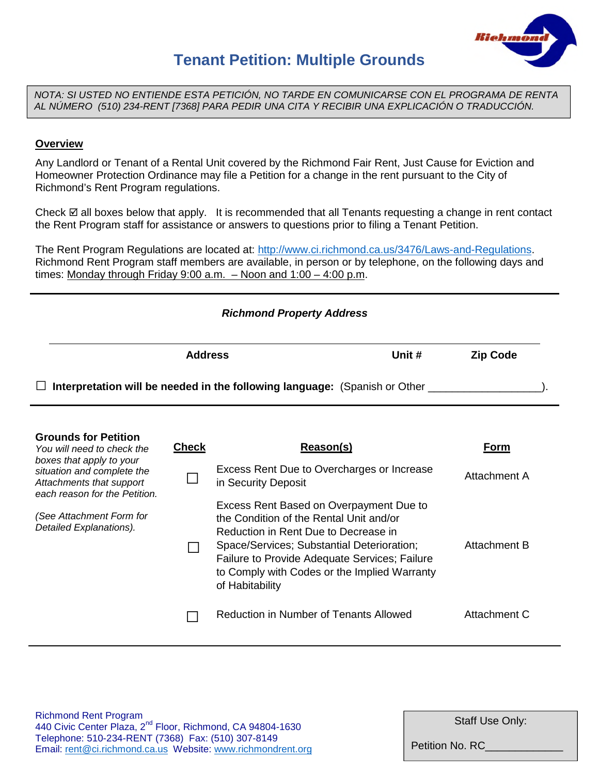

## **Tenant Petition: Multiple Grounds**

*NOTA: SI USTED NO ENTIENDE ESTA PETICIÓN, NO TARDE EN COMUNICARSE CON EL PROGRAMA DE RENTA AL NÚMERO (510) 234-RENT [7368] PARA PEDIR UNA CITA Y RECIBIR UNA EXPLICACIÓN O TRADUCCIÓN.*

## **Overview**

Any Landlord or Tenant of a Rental Unit covered by the Richmond Fair Rent, Just Cause for Eviction and Homeowner Protection Ordinance may file a Petition for a change in the rent pursuant to the City of Richmond's Rent Program regulations.

Check  $\boxtimes$  all boxes below that apply. It is recommended that all Tenants requesting a change in rent contact the Rent Program staff for assistance or answers to questions prior to filing a Tenant Petition.

The Rent Program Regulations are located at: http://www.ci.richmond.ca.us/3476/Laws-and-Regulations. Richmond Rent Program staff members are available, in person or by telephone, on the following days and times: Monday through Friday 9:00 a.m. – Noon and 1:00 – 4:00 p.m.

|                                                                                                                                                |                | <b>Richmond Property Address</b>                                                                                                                                                                                                                                                                                                                                  |                                     |
|------------------------------------------------------------------------------------------------------------------------------------------------|----------------|-------------------------------------------------------------------------------------------------------------------------------------------------------------------------------------------------------------------------------------------------------------------------------------------------------------------------------------------------------------------|-------------------------------------|
|                                                                                                                                                | <b>Address</b> | Unit #                                                                                                                                                                                                                                                                                                                                                            | <b>Zip Code</b>                     |
|                                                                                                                                                |                | <b>Interpretation will be needed in the following language:</b> (Spanish or Other ___                                                                                                                                                                                                                                                                             |                                     |
| <b>Grounds for Petition</b><br>You will need to check the<br>boxes that apply to your                                                          | <b>Check</b>   | Reason(s)                                                                                                                                                                                                                                                                                                                                                         | Form                                |
| situation and complete the<br>Attachments that support<br>each reason for the Petition.<br>(See Attachment Form for<br>Detailed Explanations). |                | Excess Rent Due to Overcharges or Increase<br>in Security Deposit<br>Excess Rent Based on Overpayment Due to<br>the Condition of the Rental Unit and/or<br>Reduction in Rent Due to Decrease in<br>Space/Services; Substantial Deterioration;<br>Failure to Provide Adequate Services; Failure<br>to Comply with Codes or the Implied Warranty<br>of Habitability | <b>Attachment A</b><br>Attachment B |
|                                                                                                                                                |                | Reduction in Number of Tenants Allowed                                                                                                                                                                                                                                                                                                                            | Attachment C                        |

Staff Use Only:

Petition No. RC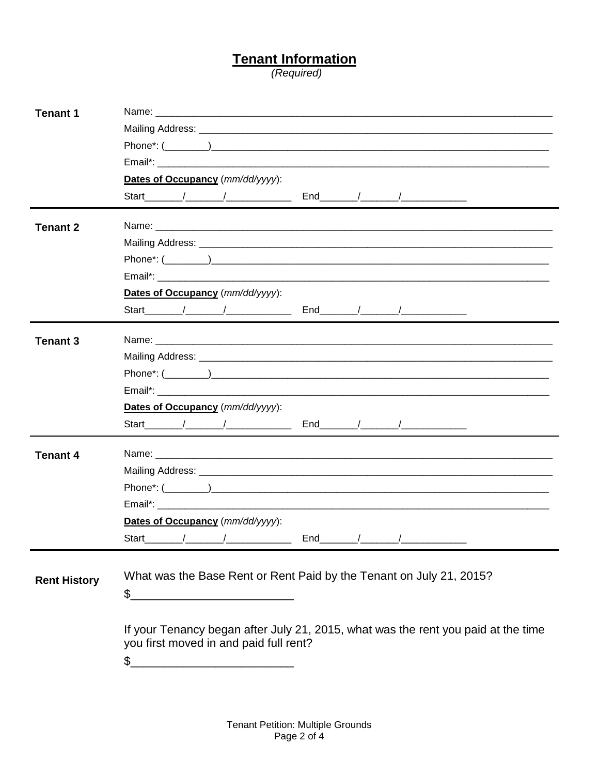## Tenant Information<br>(Required)

| <b>Tenant 1</b>     |                                                                                                                                                                                                                                |
|---------------------|--------------------------------------------------------------------------------------------------------------------------------------------------------------------------------------------------------------------------------|
|                     |                                                                                                                                                                                                                                |
|                     |                                                                                                                                                                                                                                |
|                     |                                                                                                                                                                                                                                |
|                     | Dates of Occupancy (mm/dd/yyyy):                                                                                                                                                                                               |
|                     | Start / / / End / / /                                                                                                                                                                                                          |
| <b>Tenant 2</b>     |                                                                                                                                                                                                                                |
|                     |                                                                                                                                                                                                                                |
|                     |                                                                                                                                                                                                                                |
|                     | Email*: Email and the contract of the contract of the contract of the contract of the contract of the contract of the contract of the contract of the contract of the contract of the contract of the contract of the contract |
|                     | Dates of Occupancy (mm/dd/yyyy):                                                                                                                                                                                               |
|                     |                                                                                                                                                                                                                                |
| <b>Tenant 3</b>     |                                                                                                                                                                                                                                |
|                     |                                                                                                                                                                                                                                |
|                     |                                                                                                                                                                                                                                |
|                     |                                                                                                                                                                                                                                |
|                     | Dates of Occupancy (mm/dd/yyyy):                                                                                                                                                                                               |
|                     | Start $1$ / $1$ End $1$ / $1$                                                                                                                                                                                                  |
| <b>Tenant 4</b>     |                                                                                                                                                                                                                                |
|                     |                                                                                                                                                                                                                                |
|                     |                                                                                                                                                                                                                                |
|                     |                                                                                                                                                                                                                                |
|                     | Dates of Occupancy (mm/dd/yyyy):                                                                                                                                                                                               |
|                     |                                                                                                                                                                                                                                |
|                     |                                                                                                                                                                                                                                |
| <b>Rent History</b> | What was the Base Rent or Rent Paid by the Tenant on July 21, 2015?                                                                                                                                                            |
|                     | \$                                                                                                                                                                                                                             |
|                     |                                                                                                                                                                                                                                |
|                     | If your Tenancy began after July 21, 2015, what was the rent you paid at the time                                                                                                                                              |
|                     | you first moved in and paid full rent?                                                                                                                                                                                         |
|                     | \$                                                                                                                                                                                                                             |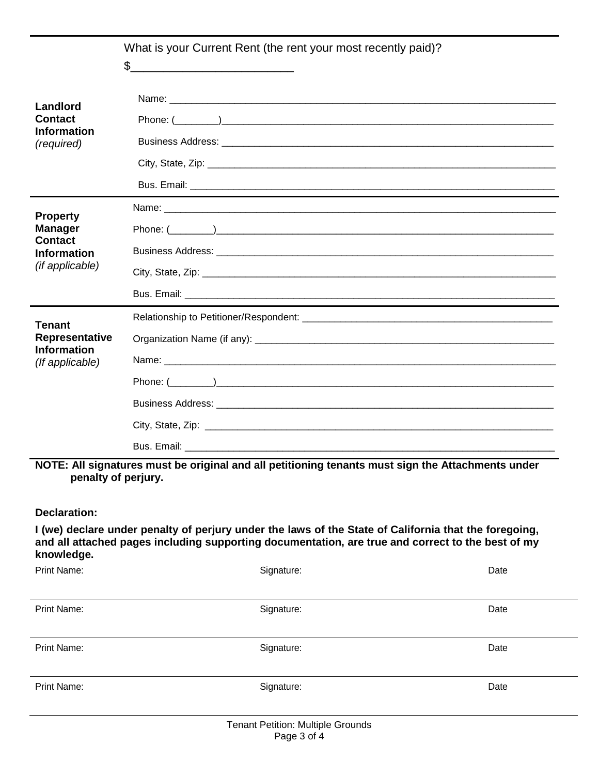|                                      | What is your Current Rent (the rent your most recently paid)?<br>$\mathfrak{L}$                                                                                                                            |  |
|--------------------------------------|------------------------------------------------------------------------------------------------------------------------------------------------------------------------------------------------------------|--|
| Landlord                             |                                                                                                                                                                                                            |  |
| <b>Contact</b>                       |                                                                                                                                                                                                            |  |
| <b>Information</b><br>(required)     |                                                                                                                                                                                                            |  |
|                                      |                                                                                                                                                                                                            |  |
|                                      |                                                                                                                                                                                                            |  |
| <b>Property</b>                      |                                                                                                                                                                                                            |  |
| <b>Manager</b><br><b>Contact</b>     |                                                                                                                                                                                                            |  |
| <b>Information</b>                   |                                                                                                                                                                                                            |  |
| (if applicable)                      |                                                                                                                                                                                                            |  |
|                                      |                                                                                                                                                                                                            |  |
| <b>Tenant</b>                        |                                                                                                                                                                                                            |  |
| Representative<br><b>Information</b> |                                                                                                                                                                                                            |  |
| (If applicable)                      |                                                                                                                                                                                                            |  |
|                                      |                                                                                                                                                                                                            |  |
|                                      |                                                                                                                                                                                                            |  |
|                                      |                                                                                                                                                                                                            |  |
|                                      |                                                                                                                                                                                                            |  |
| penalty of perjury.                  | NOTE: All signatures must be original and all petitioning tenants must sign the Attachments under                                                                                                          |  |
| <b>Declaration:</b>                  |                                                                                                                                                                                                            |  |
| knowledge.                           | I (we) declare under penalty of perjury under the laws of the State of California that the foregoing,<br>and all attached pages including supporting documentation, are true and correct to the best of my |  |
| Print Name:                          | Signature:<br>Date                                                                                                                                                                                         |  |

| Print Name: | Signature: | Date |
|-------------|------------|------|
| Print Name: | Signature: | Date |
| Print Name: | Signature: | Date |